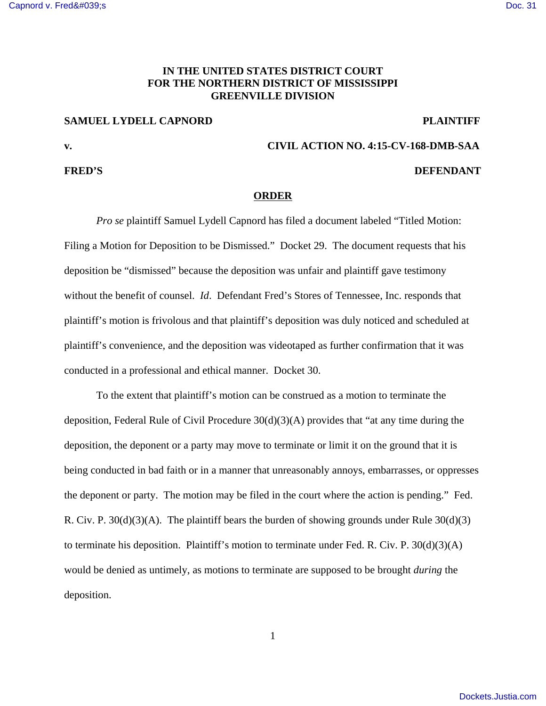# **IN THE UNITED STATES DISTRICT COURT FOR THE NORTHERN DISTRICT OF MISSISSIPPI GREENVILLE DIVISION**

### **SAMUEL LYDELL CAPNORD PLAINTIFF**

### **FRED'S** DEFENDANT

### **v. CIVIL ACTION NO. 4:15-CV-168-DMB-SAA**

## **ORDER**

*Pro se* plaintiff Samuel Lydell Capnord has filed a document labeled "Titled Motion: Filing a Motion for Deposition to be Dismissed." Docket 29. The document requests that his deposition be "dismissed" because the deposition was unfair and plaintiff gave testimony without the benefit of counsel. *Id*. Defendant Fred's Stores of Tennessee, Inc. responds that plaintiff's motion is frivolous and that plaintiff's deposition was duly noticed and scheduled at plaintiff's convenience, and the deposition was videotaped as further confirmation that it was conducted in a professional and ethical manner. Docket 30.

To the extent that plaintiff's motion can be construed as a motion to terminate the deposition, Federal Rule of Civil Procedure 30(d)(3)(A) provides that "at any time during the deposition, the deponent or a party may move to terminate or limit it on the ground that it is being conducted in bad faith or in a manner that unreasonably annoys, embarrasses, or oppresses the deponent or party. The motion may be filed in the court where the action is pending." Fed. R. Civ. P.  $30(d)(3)(A)$ . The plaintiff bears the burden of showing grounds under Rule  $30(d)(3)$ to terminate his deposition. Plaintiff's motion to terminate under Fed. R. Civ. P. 30(d)(3)(A) would be denied as untimely, as motions to terminate are supposed to be brought *during* the deposition.

1